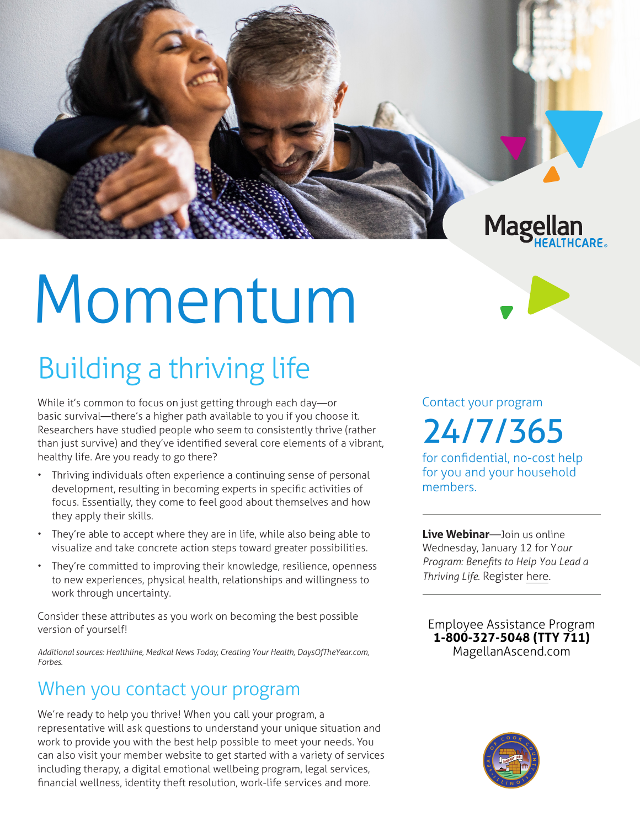

# Momentum

## Building a thriving life

While it's common to focus on just getting through each day—or basic survival—there's a higher path available to you if you choose it. Researchers have studied people who seem to consistently thrive (rather than just survive) and they've identified several core elements of a vibrant, healthy life. Are you ready to go there?

- Thriving individuals often experience a continuing sense of personal development, resulting in becoming experts in specific activities of focus. Essentially, they come to feel good about themselves and how they apply their skills.
- They're able to accept where they are in life, while also being able to visualize and take concrete action steps toward greater possibilities.
- They're committed to improving their knowledge, resilience, openness to new experiences, physical health, relationships and willingness to work through uncertainty.

Consider these attributes as you work on becoming the best possible version of yourself!

*Additional sources: Healthline, Medical News Today, Creating Your Health, DaysOfTheYear.com, Forbes.*

### When you contact your program

We're ready to help you thrive! When you call your program, a representative will ask questions to understand your unique situation and work to provide you with the best help possible to meet your needs. You can also visit your member website to get started with a variety of services including therapy, a digital emotional wellbeing program, legal services, financial wellness, identity theft resolution, work-life services and more.

Contact your program 24/7/365

for confidential, no-cost help for you and your household members.

**Live Webinar**—Join us online Wednesday, January 12 for Y*our Program: Benefits to Help You Lead a Thriving Life.* Register [here](http://magellanhealth.adobeconnect.com/elz4zikisqp1/event/registration.html ).

**Employee Assistance Program 1-800-327-5048 (TTY 711) MagellanAscend.com**